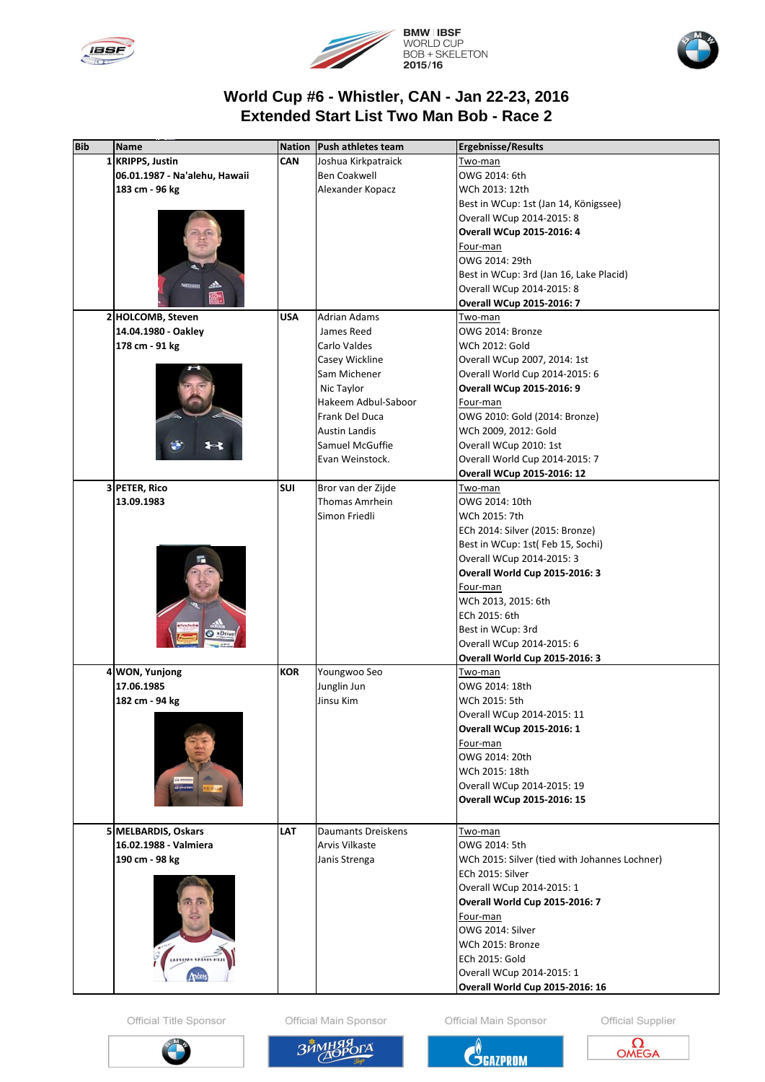





## World Cup #6 - Whistler, CAN - Jan 22-23, 2016 **Extended Start List Two Man Bob - Race 2**

| 1 KRIPPS, Justin<br><b>CAN</b><br>Joshua Kirkpatraick<br><u>Two-man</u><br><b>Ben Coakwell</b><br>06.01.1987 - Na'alehu, Hawaii<br>OWG 2014: 6th<br>183 cm - 96 kg<br>Alexander Kopacz<br>WCh 2013: 12th<br>Best in WCup: 1st (Jan 14, Königssee)<br>Overall WCup 2014-2015: 8<br><b>Overall WCup 2015-2016: 4</b><br>Four-man<br>OWG 2014: 29th<br>Best in WCup: 3rd (Jan 16, Lake Placid)<br>Overall WCup 2014-2015: 8<br>W.<br><b>Overall WCup 2015-2016: 7</b><br><b>Adrian Adams</b><br>2 HOLCOMB, Steven<br><b>USA</b><br>Two-man<br>14.04.1980 - Oakley<br>James Reed<br>OWG 2014: Bronze<br>178 cm - 91 kg<br>Carlo Valdes<br>WCh 2012: Gold<br>Overall WCup 2007, 2014: 1st<br>Casey Wickline<br>Sam Michener<br>Overall World Cup 2014-2015: 6<br>Nic Taylor<br><b>Overall WCup 2015-2016: 9</b><br>Hakeem Adbul-Saboor<br>Four-man<br>Frank Del Duca<br>OWG 2010: Gold (2014: Bronze)<br><b>Austin Landis</b><br>WCh 2009, 2012: Gold<br>Samuel McGuffie<br>Overall WCup 2010: 1st<br>Overall World Cup 2014-2015: 7<br>Evan Weinstock.<br><b>Overall WCup 2015-2016: 12</b><br>3 PETER, Rico<br><b>SUI</b><br>Bror van der Zijde<br><u>Two-man</u><br>Thomas Amrhein<br>13.09.1983<br>OWG 2014: 10th<br>Simon Friedli<br>WCh 2015: 7th<br>ECh 2014: Silver (2015: Bronze)<br>Best in WCup: 1st(Feb 15, Sochi)<br>Overall WCup 2014-2015: 3<br>Overall World Cup 2015-2016: 3<br>Four-man<br>WCh 2013, 2015: 6th<br>ECh 2015: 6th<br>Best in WCup: 3rd<br>Overall WCup 2014-2015: 6<br><b>Overall World Cup 2015-2016: 3</b><br>4 WON, Yunjong<br><b>KOR</b><br>Youngwoo Seo<br><u>Two-man</u><br>Junglin Jun<br>17.06.1985<br>OWG 2014: 18th<br>182 cm - 94 kg<br>Jinsu Kim<br>WCh 2015: 5th<br>Overall WCup 2014-2015: 11<br><b>Overall WCup 2015-2016: 1</b><br>Four-man<br>OWG 2014: 20th<br>WCh 2015: 18th<br>Overall WCup 2014-2015: 19<br><b>Overall WCup 2015-2016: 15</b><br><b>LAT</b><br>5 MELBARDIS, Oskars<br><b>Daumants Dreiskens</b><br>Two-man<br>16.02.1988 - Valmiera<br><b>Arvis Vilkaste</b><br>OWG 2014: 5th<br>190 cm - 98 kg<br>WCh 2015: Silver (tied with Johannes Lochner)<br>Janis Strenga<br>ECh 2015: Silver<br>Overall WCup 2014-2015: 1<br><b>Overall World Cup 2015-2016: 7</b><br>Four-man<br>OWG 2014: Silver<br>WCh 2015: Bronze | <b>Bib</b> | <b>Name</b>              | <b>Nation</b> | Push athletes team | <b>Ergebnisse/Results</b> |
|---------------------------------------------------------------------------------------------------------------------------------------------------------------------------------------------------------------------------------------------------------------------------------------------------------------------------------------------------------------------------------------------------------------------------------------------------------------------------------------------------------------------------------------------------------------------------------------------------------------------------------------------------------------------------------------------------------------------------------------------------------------------------------------------------------------------------------------------------------------------------------------------------------------------------------------------------------------------------------------------------------------------------------------------------------------------------------------------------------------------------------------------------------------------------------------------------------------------------------------------------------------------------------------------------------------------------------------------------------------------------------------------------------------------------------------------------------------------------------------------------------------------------------------------------------------------------------------------------------------------------------------------------------------------------------------------------------------------------------------------------------------------------------------------------------------------------------------------------------------------------------------------------------------------------------------------------------------------------------------------------------------------------------------------------------------------------------------------------------------------------------------------------------------------------------------------------------------------------------------------------------------------------------|------------|--------------------------|---------------|--------------------|---------------------------|
|                                                                                                                                                                                                                                                                                                                                                                                                                                                                                                                                                                                                                                                                                                                                                                                                                                                                                                                                                                                                                                                                                                                                                                                                                                                                                                                                                                                                                                                                                                                                                                                                                                                                                                                                                                                                                                                                                                                                                                                                                                                                                                                                                                                                                                                                                 |            |                          |               |                    |                           |
|                                                                                                                                                                                                                                                                                                                                                                                                                                                                                                                                                                                                                                                                                                                                                                                                                                                                                                                                                                                                                                                                                                                                                                                                                                                                                                                                                                                                                                                                                                                                                                                                                                                                                                                                                                                                                                                                                                                                                                                                                                                                                                                                                                                                                                                                                 |            |                          |               |                    |                           |
|                                                                                                                                                                                                                                                                                                                                                                                                                                                                                                                                                                                                                                                                                                                                                                                                                                                                                                                                                                                                                                                                                                                                                                                                                                                                                                                                                                                                                                                                                                                                                                                                                                                                                                                                                                                                                                                                                                                                                                                                                                                                                                                                                                                                                                                                                 |            |                          |               |                    |                           |
|                                                                                                                                                                                                                                                                                                                                                                                                                                                                                                                                                                                                                                                                                                                                                                                                                                                                                                                                                                                                                                                                                                                                                                                                                                                                                                                                                                                                                                                                                                                                                                                                                                                                                                                                                                                                                                                                                                                                                                                                                                                                                                                                                                                                                                                                                 |            |                          |               |                    |                           |
|                                                                                                                                                                                                                                                                                                                                                                                                                                                                                                                                                                                                                                                                                                                                                                                                                                                                                                                                                                                                                                                                                                                                                                                                                                                                                                                                                                                                                                                                                                                                                                                                                                                                                                                                                                                                                                                                                                                                                                                                                                                                                                                                                                                                                                                                                 |            |                          |               |                    |                           |
|                                                                                                                                                                                                                                                                                                                                                                                                                                                                                                                                                                                                                                                                                                                                                                                                                                                                                                                                                                                                                                                                                                                                                                                                                                                                                                                                                                                                                                                                                                                                                                                                                                                                                                                                                                                                                                                                                                                                                                                                                                                                                                                                                                                                                                                                                 |            |                          |               |                    |                           |
|                                                                                                                                                                                                                                                                                                                                                                                                                                                                                                                                                                                                                                                                                                                                                                                                                                                                                                                                                                                                                                                                                                                                                                                                                                                                                                                                                                                                                                                                                                                                                                                                                                                                                                                                                                                                                                                                                                                                                                                                                                                                                                                                                                                                                                                                                 |            |                          |               |                    |                           |
|                                                                                                                                                                                                                                                                                                                                                                                                                                                                                                                                                                                                                                                                                                                                                                                                                                                                                                                                                                                                                                                                                                                                                                                                                                                                                                                                                                                                                                                                                                                                                                                                                                                                                                                                                                                                                                                                                                                                                                                                                                                                                                                                                                                                                                                                                 |            |                          |               |                    |                           |
|                                                                                                                                                                                                                                                                                                                                                                                                                                                                                                                                                                                                                                                                                                                                                                                                                                                                                                                                                                                                                                                                                                                                                                                                                                                                                                                                                                                                                                                                                                                                                                                                                                                                                                                                                                                                                                                                                                                                                                                                                                                                                                                                                                                                                                                                                 |            |                          |               |                    |                           |
|                                                                                                                                                                                                                                                                                                                                                                                                                                                                                                                                                                                                                                                                                                                                                                                                                                                                                                                                                                                                                                                                                                                                                                                                                                                                                                                                                                                                                                                                                                                                                                                                                                                                                                                                                                                                                                                                                                                                                                                                                                                                                                                                                                                                                                                                                 |            |                          |               |                    |                           |
|                                                                                                                                                                                                                                                                                                                                                                                                                                                                                                                                                                                                                                                                                                                                                                                                                                                                                                                                                                                                                                                                                                                                                                                                                                                                                                                                                                                                                                                                                                                                                                                                                                                                                                                                                                                                                                                                                                                                                                                                                                                                                                                                                                                                                                                                                 |            |                          |               |                    |                           |
|                                                                                                                                                                                                                                                                                                                                                                                                                                                                                                                                                                                                                                                                                                                                                                                                                                                                                                                                                                                                                                                                                                                                                                                                                                                                                                                                                                                                                                                                                                                                                                                                                                                                                                                                                                                                                                                                                                                                                                                                                                                                                                                                                                                                                                                                                 |            |                          |               |                    |                           |
|                                                                                                                                                                                                                                                                                                                                                                                                                                                                                                                                                                                                                                                                                                                                                                                                                                                                                                                                                                                                                                                                                                                                                                                                                                                                                                                                                                                                                                                                                                                                                                                                                                                                                                                                                                                                                                                                                                                                                                                                                                                                                                                                                                                                                                                                                 |            |                          |               |                    |                           |
|                                                                                                                                                                                                                                                                                                                                                                                                                                                                                                                                                                                                                                                                                                                                                                                                                                                                                                                                                                                                                                                                                                                                                                                                                                                                                                                                                                                                                                                                                                                                                                                                                                                                                                                                                                                                                                                                                                                                                                                                                                                                                                                                                                                                                                                                                 |            |                          |               |                    |                           |
|                                                                                                                                                                                                                                                                                                                                                                                                                                                                                                                                                                                                                                                                                                                                                                                                                                                                                                                                                                                                                                                                                                                                                                                                                                                                                                                                                                                                                                                                                                                                                                                                                                                                                                                                                                                                                                                                                                                                                                                                                                                                                                                                                                                                                                                                                 |            |                          |               |                    |                           |
|                                                                                                                                                                                                                                                                                                                                                                                                                                                                                                                                                                                                                                                                                                                                                                                                                                                                                                                                                                                                                                                                                                                                                                                                                                                                                                                                                                                                                                                                                                                                                                                                                                                                                                                                                                                                                                                                                                                                                                                                                                                                                                                                                                                                                                                                                 |            |                          |               |                    |                           |
|                                                                                                                                                                                                                                                                                                                                                                                                                                                                                                                                                                                                                                                                                                                                                                                                                                                                                                                                                                                                                                                                                                                                                                                                                                                                                                                                                                                                                                                                                                                                                                                                                                                                                                                                                                                                                                                                                                                                                                                                                                                                                                                                                                                                                                                                                 |            |                          |               |                    |                           |
|                                                                                                                                                                                                                                                                                                                                                                                                                                                                                                                                                                                                                                                                                                                                                                                                                                                                                                                                                                                                                                                                                                                                                                                                                                                                                                                                                                                                                                                                                                                                                                                                                                                                                                                                                                                                                                                                                                                                                                                                                                                                                                                                                                                                                                                                                 |            |                          |               |                    |                           |
|                                                                                                                                                                                                                                                                                                                                                                                                                                                                                                                                                                                                                                                                                                                                                                                                                                                                                                                                                                                                                                                                                                                                                                                                                                                                                                                                                                                                                                                                                                                                                                                                                                                                                                                                                                                                                                                                                                                                                                                                                                                                                                                                                                                                                                                                                 |            |                          |               |                    |                           |
|                                                                                                                                                                                                                                                                                                                                                                                                                                                                                                                                                                                                                                                                                                                                                                                                                                                                                                                                                                                                                                                                                                                                                                                                                                                                                                                                                                                                                                                                                                                                                                                                                                                                                                                                                                                                                                                                                                                                                                                                                                                                                                                                                                                                                                                                                 |            |                          |               |                    |                           |
|                                                                                                                                                                                                                                                                                                                                                                                                                                                                                                                                                                                                                                                                                                                                                                                                                                                                                                                                                                                                                                                                                                                                                                                                                                                                                                                                                                                                                                                                                                                                                                                                                                                                                                                                                                                                                                                                                                                                                                                                                                                                                                                                                                                                                                                                                 |            |                          |               |                    |                           |
|                                                                                                                                                                                                                                                                                                                                                                                                                                                                                                                                                                                                                                                                                                                                                                                                                                                                                                                                                                                                                                                                                                                                                                                                                                                                                                                                                                                                                                                                                                                                                                                                                                                                                                                                                                                                                                                                                                                                                                                                                                                                                                                                                                                                                                                                                 |            |                          |               |                    |                           |
|                                                                                                                                                                                                                                                                                                                                                                                                                                                                                                                                                                                                                                                                                                                                                                                                                                                                                                                                                                                                                                                                                                                                                                                                                                                                                                                                                                                                                                                                                                                                                                                                                                                                                                                                                                                                                                                                                                                                                                                                                                                                                                                                                                                                                                                                                 |            |                          |               |                    |                           |
|                                                                                                                                                                                                                                                                                                                                                                                                                                                                                                                                                                                                                                                                                                                                                                                                                                                                                                                                                                                                                                                                                                                                                                                                                                                                                                                                                                                                                                                                                                                                                                                                                                                                                                                                                                                                                                                                                                                                                                                                                                                                                                                                                                                                                                                                                 |            |                          |               |                    |                           |
|                                                                                                                                                                                                                                                                                                                                                                                                                                                                                                                                                                                                                                                                                                                                                                                                                                                                                                                                                                                                                                                                                                                                                                                                                                                                                                                                                                                                                                                                                                                                                                                                                                                                                                                                                                                                                                                                                                                                                                                                                                                                                                                                                                                                                                                                                 |            |                          |               |                    |                           |
|                                                                                                                                                                                                                                                                                                                                                                                                                                                                                                                                                                                                                                                                                                                                                                                                                                                                                                                                                                                                                                                                                                                                                                                                                                                                                                                                                                                                                                                                                                                                                                                                                                                                                                                                                                                                                                                                                                                                                                                                                                                                                                                                                                                                                                                                                 |            |                          |               |                    |                           |
|                                                                                                                                                                                                                                                                                                                                                                                                                                                                                                                                                                                                                                                                                                                                                                                                                                                                                                                                                                                                                                                                                                                                                                                                                                                                                                                                                                                                                                                                                                                                                                                                                                                                                                                                                                                                                                                                                                                                                                                                                                                                                                                                                                                                                                                                                 |            |                          |               |                    |                           |
|                                                                                                                                                                                                                                                                                                                                                                                                                                                                                                                                                                                                                                                                                                                                                                                                                                                                                                                                                                                                                                                                                                                                                                                                                                                                                                                                                                                                                                                                                                                                                                                                                                                                                                                                                                                                                                                                                                                                                                                                                                                                                                                                                                                                                                                                                 |            |                          |               |                    |                           |
|                                                                                                                                                                                                                                                                                                                                                                                                                                                                                                                                                                                                                                                                                                                                                                                                                                                                                                                                                                                                                                                                                                                                                                                                                                                                                                                                                                                                                                                                                                                                                                                                                                                                                                                                                                                                                                                                                                                                                                                                                                                                                                                                                                                                                                                                                 |            |                          |               |                    |                           |
|                                                                                                                                                                                                                                                                                                                                                                                                                                                                                                                                                                                                                                                                                                                                                                                                                                                                                                                                                                                                                                                                                                                                                                                                                                                                                                                                                                                                                                                                                                                                                                                                                                                                                                                                                                                                                                                                                                                                                                                                                                                                                                                                                                                                                                                                                 |            |                          |               |                    |                           |
|                                                                                                                                                                                                                                                                                                                                                                                                                                                                                                                                                                                                                                                                                                                                                                                                                                                                                                                                                                                                                                                                                                                                                                                                                                                                                                                                                                                                                                                                                                                                                                                                                                                                                                                                                                                                                                                                                                                                                                                                                                                                                                                                                                                                                                                                                 |            |                          |               |                    |                           |
|                                                                                                                                                                                                                                                                                                                                                                                                                                                                                                                                                                                                                                                                                                                                                                                                                                                                                                                                                                                                                                                                                                                                                                                                                                                                                                                                                                                                                                                                                                                                                                                                                                                                                                                                                                                                                                                                                                                                                                                                                                                                                                                                                                                                                                                                                 |            |                          |               |                    |                           |
|                                                                                                                                                                                                                                                                                                                                                                                                                                                                                                                                                                                                                                                                                                                                                                                                                                                                                                                                                                                                                                                                                                                                                                                                                                                                                                                                                                                                                                                                                                                                                                                                                                                                                                                                                                                                                                                                                                                                                                                                                                                                                                                                                                                                                                                                                 |            |                          |               |                    |                           |
|                                                                                                                                                                                                                                                                                                                                                                                                                                                                                                                                                                                                                                                                                                                                                                                                                                                                                                                                                                                                                                                                                                                                                                                                                                                                                                                                                                                                                                                                                                                                                                                                                                                                                                                                                                                                                                                                                                                                                                                                                                                                                                                                                                                                                                                                                 |            |                          |               |                    |                           |
|                                                                                                                                                                                                                                                                                                                                                                                                                                                                                                                                                                                                                                                                                                                                                                                                                                                                                                                                                                                                                                                                                                                                                                                                                                                                                                                                                                                                                                                                                                                                                                                                                                                                                                                                                                                                                                                                                                                                                                                                                                                                                                                                                                                                                                                                                 |            |                          |               |                    |                           |
|                                                                                                                                                                                                                                                                                                                                                                                                                                                                                                                                                                                                                                                                                                                                                                                                                                                                                                                                                                                                                                                                                                                                                                                                                                                                                                                                                                                                                                                                                                                                                                                                                                                                                                                                                                                                                                                                                                                                                                                                                                                                                                                                                                                                                                                                                 |            |                          |               |                    |                           |
|                                                                                                                                                                                                                                                                                                                                                                                                                                                                                                                                                                                                                                                                                                                                                                                                                                                                                                                                                                                                                                                                                                                                                                                                                                                                                                                                                                                                                                                                                                                                                                                                                                                                                                                                                                                                                                                                                                                                                                                                                                                                                                                                                                                                                                                                                 |            |                          |               |                    |                           |
|                                                                                                                                                                                                                                                                                                                                                                                                                                                                                                                                                                                                                                                                                                                                                                                                                                                                                                                                                                                                                                                                                                                                                                                                                                                                                                                                                                                                                                                                                                                                                                                                                                                                                                                                                                                                                                                                                                                                                                                                                                                                                                                                                                                                                                                                                 |            |                          |               |                    |                           |
|                                                                                                                                                                                                                                                                                                                                                                                                                                                                                                                                                                                                                                                                                                                                                                                                                                                                                                                                                                                                                                                                                                                                                                                                                                                                                                                                                                                                                                                                                                                                                                                                                                                                                                                                                                                                                                                                                                                                                                                                                                                                                                                                                                                                                                                                                 |            |                          |               |                    |                           |
|                                                                                                                                                                                                                                                                                                                                                                                                                                                                                                                                                                                                                                                                                                                                                                                                                                                                                                                                                                                                                                                                                                                                                                                                                                                                                                                                                                                                                                                                                                                                                                                                                                                                                                                                                                                                                                                                                                                                                                                                                                                                                                                                                                                                                                                                                 |            |                          |               |                    |                           |
|                                                                                                                                                                                                                                                                                                                                                                                                                                                                                                                                                                                                                                                                                                                                                                                                                                                                                                                                                                                                                                                                                                                                                                                                                                                                                                                                                                                                                                                                                                                                                                                                                                                                                                                                                                                                                                                                                                                                                                                                                                                                                                                                                                                                                                                                                 |            |                          |               |                    |                           |
|                                                                                                                                                                                                                                                                                                                                                                                                                                                                                                                                                                                                                                                                                                                                                                                                                                                                                                                                                                                                                                                                                                                                                                                                                                                                                                                                                                                                                                                                                                                                                                                                                                                                                                                                                                                                                                                                                                                                                                                                                                                                                                                                                                                                                                                                                 |            |                          |               |                    |                           |
|                                                                                                                                                                                                                                                                                                                                                                                                                                                                                                                                                                                                                                                                                                                                                                                                                                                                                                                                                                                                                                                                                                                                                                                                                                                                                                                                                                                                                                                                                                                                                                                                                                                                                                                                                                                                                                                                                                                                                                                                                                                                                                                                                                                                                                                                                 |            |                          |               |                    |                           |
|                                                                                                                                                                                                                                                                                                                                                                                                                                                                                                                                                                                                                                                                                                                                                                                                                                                                                                                                                                                                                                                                                                                                                                                                                                                                                                                                                                                                                                                                                                                                                                                                                                                                                                                                                                                                                                                                                                                                                                                                                                                                                                                                                                                                                                                                                 |            |                          |               |                    |                           |
|                                                                                                                                                                                                                                                                                                                                                                                                                                                                                                                                                                                                                                                                                                                                                                                                                                                                                                                                                                                                                                                                                                                                                                                                                                                                                                                                                                                                                                                                                                                                                                                                                                                                                                                                                                                                                                                                                                                                                                                                                                                                                                                                                                                                                                                                                 |            |                          |               |                    |                           |
|                                                                                                                                                                                                                                                                                                                                                                                                                                                                                                                                                                                                                                                                                                                                                                                                                                                                                                                                                                                                                                                                                                                                                                                                                                                                                                                                                                                                                                                                                                                                                                                                                                                                                                                                                                                                                                                                                                                                                                                                                                                                                                                                                                                                                                                                                 |            |                          |               |                    |                           |
|                                                                                                                                                                                                                                                                                                                                                                                                                                                                                                                                                                                                                                                                                                                                                                                                                                                                                                                                                                                                                                                                                                                                                                                                                                                                                                                                                                                                                                                                                                                                                                                                                                                                                                                                                                                                                                                                                                                                                                                                                                                                                                                                                                                                                                                                                 |            |                          |               |                    |                           |
|                                                                                                                                                                                                                                                                                                                                                                                                                                                                                                                                                                                                                                                                                                                                                                                                                                                                                                                                                                                                                                                                                                                                                                                                                                                                                                                                                                                                                                                                                                                                                                                                                                                                                                                                                                                                                                                                                                                                                                                                                                                                                                                                                                                                                                                                                 |            |                          |               |                    |                           |
|                                                                                                                                                                                                                                                                                                                                                                                                                                                                                                                                                                                                                                                                                                                                                                                                                                                                                                                                                                                                                                                                                                                                                                                                                                                                                                                                                                                                                                                                                                                                                                                                                                                                                                                                                                                                                                                                                                                                                                                                                                                                                                                                                                                                                                                                                 |            |                          |               |                    |                           |
|                                                                                                                                                                                                                                                                                                                                                                                                                                                                                                                                                                                                                                                                                                                                                                                                                                                                                                                                                                                                                                                                                                                                                                                                                                                                                                                                                                                                                                                                                                                                                                                                                                                                                                                                                                                                                                                                                                                                                                                                                                                                                                                                                                                                                                                                                 |            |                          |               |                    |                           |
|                                                                                                                                                                                                                                                                                                                                                                                                                                                                                                                                                                                                                                                                                                                                                                                                                                                                                                                                                                                                                                                                                                                                                                                                                                                                                                                                                                                                                                                                                                                                                                                                                                                                                                                                                                                                                                                                                                                                                                                                                                                                                                                                                                                                                                                                                 |            |                          |               |                    |                           |
|                                                                                                                                                                                                                                                                                                                                                                                                                                                                                                                                                                                                                                                                                                                                                                                                                                                                                                                                                                                                                                                                                                                                                                                                                                                                                                                                                                                                                                                                                                                                                                                                                                                                                                                                                                                                                                                                                                                                                                                                                                                                                                                                                                                                                                                                                 |            |                          |               |                    |                           |
|                                                                                                                                                                                                                                                                                                                                                                                                                                                                                                                                                                                                                                                                                                                                                                                                                                                                                                                                                                                                                                                                                                                                                                                                                                                                                                                                                                                                                                                                                                                                                                                                                                                                                                                                                                                                                                                                                                                                                                                                                                                                                                                                                                                                                                                                                 |            |                          |               |                    |                           |
|                                                                                                                                                                                                                                                                                                                                                                                                                                                                                                                                                                                                                                                                                                                                                                                                                                                                                                                                                                                                                                                                                                                                                                                                                                                                                                                                                                                                                                                                                                                                                                                                                                                                                                                                                                                                                                                                                                                                                                                                                                                                                                                                                                                                                                                                                 |            |                          |               |                    |                           |
|                                                                                                                                                                                                                                                                                                                                                                                                                                                                                                                                                                                                                                                                                                                                                                                                                                                                                                                                                                                                                                                                                                                                                                                                                                                                                                                                                                                                                                                                                                                                                                                                                                                                                                                                                                                                                                                                                                                                                                                                                                                                                                                                                                                                                                                                                 |            |                          |               |                    |                           |
|                                                                                                                                                                                                                                                                                                                                                                                                                                                                                                                                                                                                                                                                                                                                                                                                                                                                                                                                                                                                                                                                                                                                                                                                                                                                                                                                                                                                                                                                                                                                                                                                                                                                                                                                                                                                                                                                                                                                                                                                                                                                                                                                                                                                                                                                                 |            |                          |               |                    |                           |
|                                                                                                                                                                                                                                                                                                                                                                                                                                                                                                                                                                                                                                                                                                                                                                                                                                                                                                                                                                                                                                                                                                                                                                                                                                                                                                                                                                                                                                                                                                                                                                                                                                                                                                                                                                                                                                                                                                                                                                                                                                                                                                                                                                                                                                                                                 |            |                          |               |                    |                           |
|                                                                                                                                                                                                                                                                                                                                                                                                                                                                                                                                                                                                                                                                                                                                                                                                                                                                                                                                                                                                                                                                                                                                                                                                                                                                                                                                                                                                                                                                                                                                                                                                                                                                                                                                                                                                                                                                                                                                                                                                                                                                                                                                                                                                                                                                                 |            | <b>CLEAS VALSTS FILE</b> |               |                    | ECh 2015: Gold            |
| Overall WCup 2014-2015: 1                                                                                                                                                                                                                                                                                                                                                                                                                                                                                                                                                                                                                                                                                                                                                                                                                                                                                                                                                                                                                                                                                                                                                                                                                                                                                                                                                                                                                                                                                                                                                                                                                                                                                                                                                                                                                                                                                                                                                                                                                                                                                                                                                                                                                                                       |            |                          |               |                    |                           |
| <b>Overall World Cup 2015-2016: 16</b>                                                                                                                                                                                                                                                                                                                                                                                                                                                                                                                                                                                                                                                                                                                                                                                                                                                                                                                                                                                                                                                                                                                                                                                                                                                                                                                                                                                                                                                                                                                                                                                                                                                                                                                                                                                                                                                                                                                                                                                                                                                                                                                                                                                                                                          |            |                          |               |                    |                           |

Official Title Sponsor

Official Main Sponsor

Official Main Sponsor

Official Supplier







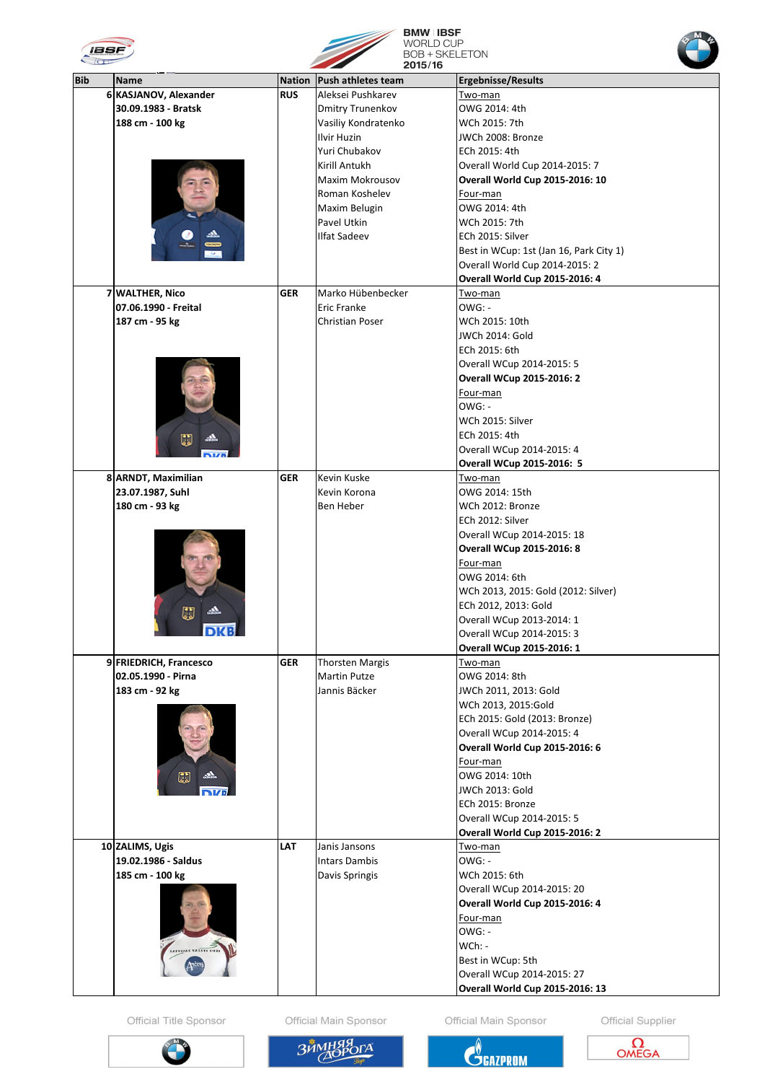



**BMW | IBSF**<br>WORLD CUP<br>BOB + SKELETON



| $\sim$ 100 $\sim$       |                        |               | 2015/16                   |                                         |
|-------------------------|------------------------|---------------|---------------------------|-----------------------------------------|
| <b>Bib</b>              | <b>Name</b>            | <b>Nation</b> | <b>Push athletes team</b> | <b>Ergebnisse/Results</b>               |
|                         | 6 KASJANOV, Alexander  | <b>RUS</b>    | Aleksei Pushkarev         | <u>Two-man</u>                          |
|                         | 30.09.1983 - Bratsk    |               | <b>Dmitry Trunenkov</b>   | OWG 2014: 4th                           |
|                         | 188 cm - 100 kg        |               | Vasiliy Kondratenko       | WCh 2015: 7th                           |
|                         |                        |               | Ilvir Huzin               | JWCh 2008: Bronze                       |
|                         |                        |               | Yuri Chubakov             | ECh 2015: 4th                           |
|                         |                        |               | Kirill Antukh             |                                         |
|                         |                        |               |                           | Overall World Cup 2014-2015: 7          |
|                         |                        |               | Maxim Mokrousov           | <b>Overall World Cup 2015-2016: 10</b>  |
|                         |                        |               | Roman Koshelev            | Four-man                                |
|                         |                        |               | Maxim Belugin             | OWG 2014: 4th                           |
|                         |                        |               | Pavel Utkin               | WCh 2015: 7th                           |
|                         |                        |               | <b>Ilfat Sadeev</b>       | ECh 2015: Silver                        |
|                         | $\sim$                 |               |                           | Best in WCup: 1st (Jan 16, Park City 1) |
|                         |                        |               |                           | Overall World Cup 2014-2015: 2          |
|                         |                        |               |                           | <b>Overall World Cup 2015-2016: 4</b>   |
| $\overline{\mathbf{z}}$ | <b>WALTHER, Nico</b>   | <b>GER</b>    | Marko Hübenbecker         | Two-man                                 |
|                         | 07.06.1990 - Freital   |               | <b>Eric Franke</b>        | $OWG: -$                                |
|                         | 187 cm - 95 kg         |               | <b>Christian Poser</b>    | WCh 2015: 10th                          |
|                         |                        |               |                           | JWCh 2014: Gold                         |
|                         |                        |               |                           | ECh 2015: 6th                           |
|                         |                        |               |                           | Overall WCup 2014-2015: 5               |
|                         |                        |               |                           | <b>Overall WCup 2015-2016: 2</b>        |
|                         |                        |               |                           | Four-man                                |
|                         |                        |               |                           | $OWG: -$                                |
|                         |                        |               |                           | WCh 2015: Silver                        |
|                         |                        |               |                           | ECh 2015: 4th                           |
|                         | IJ<br>ala              |               |                           |                                         |
|                         |                        |               |                           | Overall WCup 2014-2015: 4               |
|                         |                        |               |                           | <b>Overall WCup 2015-2016: 5</b>        |
|                         | 8 ARNDT, Maximilian    | <b>GER</b>    | Kevin Kuske               | <u>Two-man</u>                          |
|                         | 23.07.1987, Suhl       |               | Kevin Korona              | OWG 2014: 15th                          |
|                         | 180 cm - 93 kg         |               | Ben Heber                 | WCh 2012: Bronze                        |
|                         |                        |               |                           | ECh 2012: Silver                        |
|                         |                        |               |                           | Overall WCup 2014-2015: 18              |
|                         |                        |               |                           | <b>Overall WCup 2015-2016: 8</b>        |
|                         |                        |               |                           | Four-man                                |
|                         |                        |               |                           | OWG 2014: 6th                           |
|                         |                        |               |                           | WCh 2013, 2015: Gold (2012: Silver)     |
|                         |                        |               |                           | ECh 2012, 2013: Gold                    |
|                         | CJ                     |               |                           | Overall WCup 2013-2014: 1               |
|                         | <b>DKB</b>             |               |                           | Overall WCup 2014-2015: 3               |
|                         |                        |               |                           | <b>Overall WCup 2015-2016: 1</b>        |
|                         | 9 FRIEDRICH, Francesco | <b>GER</b>    | <b>Thorsten Margis</b>    | <u>Two-man</u>                          |
|                         | 02.05.1990 - Pirna     |               | <b>Martin Putze</b>       | OWG 2014: 8th                           |
|                         | 183 cm - 92 kg         |               | Jannis Bäcker             | JWCh 2011, 2013: Gold                   |
|                         |                        |               |                           | WCh 2013, 2015:Gold                     |
|                         |                        |               |                           | ECh 2015: Gold (2013: Bronze)           |
|                         |                        |               |                           | Overall WCup 2014-2015: 4               |
|                         |                        |               |                           | <b>Overall World Cup 2015-2016: 6</b>   |
|                         |                        |               |                           |                                         |
|                         | ada.                   |               |                           | Four-man                                |
|                         | U                      |               |                           | OWG 2014: 10th                          |
|                         | <b>DKR</b>             |               |                           | JWCh 2013: Gold                         |
|                         |                        |               |                           | ECh 2015: Bronze                        |
|                         |                        |               |                           | Overall WCup 2014-2015: 5               |
|                         |                        |               |                           | <b>Overall World Cup 2015-2016: 2</b>   |
|                         | 10 ZALIMS, Ugis        | <b>LAT</b>    | Janis Jansons             | Two-man                                 |
|                         | 19.02.1986 - Saldus    |               | <b>Intars Dambis</b>      | OWG: -                                  |
|                         | 185 cm - 100 kg        |               | Davis Springis            | WCh 2015: 6th                           |
|                         |                        |               |                           | Overall WCup 2014-2015: 20              |
|                         |                        |               |                           | <b>Overall World Cup 2015-2016: 4</b>   |
|                         |                        |               |                           | <u>Four-man</u>                         |
|                         |                        |               |                           | OWG: -                                  |
|                         | LATVIJAS VALSTS MEZI   |               |                           | WCh: -                                  |
|                         | picer                  |               |                           | Best in WCup: 5th                       |
|                         |                        |               |                           | Overall WCup 2014-2015: 27              |
|                         |                        |               |                           | Overall World Cup 2015-2016: 13         |

Official Title Sponsor

Official Main Sponsor

Official Main Sponsor

Official Supplier







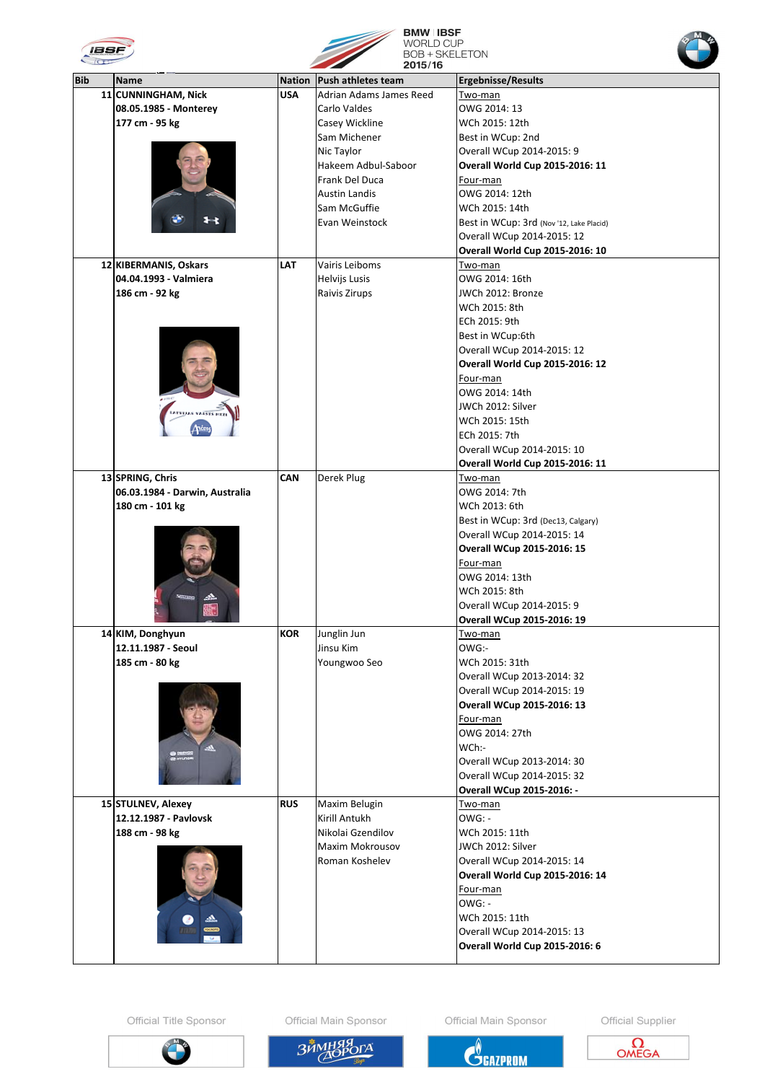| IBSF |                    |      |                             | <b>BMW IBSF</b><br><b>WORLD CUP</b><br><b>BOB + SKELETON</b><br>2015/16 |                           |
|------|--------------------|------|-----------------------------|-------------------------------------------------------------------------|---------------------------|
| Bib  | <b>IName</b>       |      | Nation   Push athletes team |                                                                         | <b>Ergebnisse/Results</b> |
|      | 11 CUNNINGHAM Nick | ΠΙΚΔ | LAdrian Adams James Reed    |                                                                         | Two-man                   |



| <b>Bib</b> | <b>Name</b>                    | <b>Nation</b> | <b>Push athletes team</b> | <b>Ergebnisse/Results</b>                |
|------------|--------------------------------|---------------|---------------------------|------------------------------------------|
|            | 11 CUNNINGHAM, Nick            | <b>USA</b>    | Adrian Adams James Reed   |                                          |
|            |                                |               |                           | Two-man                                  |
|            | 08.05.1985 - Monterey          |               | Carlo Valdes              | OWG 2014: 13                             |
|            | 177 cm - 95 kg                 |               | Casey Wickline            | WCh 2015: 12th                           |
|            |                                |               | Sam Michener              | Best in WCup: 2nd                        |
|            |                                |               | Nic Taylor                | Overall WCup 2014-2015: 9                |
|            |                                |               | Hakeem Adbul-Saboor       | <b>Overall World Cup 2015-2016: 11</b>   |
|            |                                |               | Frank Del Duca            | Four-man                                 |
|            |                                |               |                           |                                          |
|            |                                |               | <b>Austin Landis</b>      | OWG 2014: 12th                           |
|            |                                |               | Sam McGuffie              | WCh 2015: 14th                           |
|            |                                |               | Evan Weinstock            | Best in WCup: 3rd (Nov '12, Lake Placid) |
|            |                                |               |                           | Overall WCup 2014-2015: 12               |
|            |                                |               |                           | <b>Overall World Cup 2015-2016: 10</b>   |
|            | 12 KIBERMANIS, Oskars          | <b>LAT</b>    | Vairis Leiboms            | Two-man                                  |
|            | 04.04.1993 - Valmiera          |               | Helvijs Lusis             | OWG 2014: 16th                           |
|            |                                |               |                           |                                          |
|            | 186 cm - 92 kg                 |               | Raivis Zirups             | JWCh 2012: Bronze                        |
|            |                                |               |                           | WCh 2015: 8th                            |
|            |                                |               |                           | ECh 2015: 9th                            |
|            |                                |               |                           | Best in WCup:6th                         |
|            |                                |               |                           | Overall WCup 2014-2015: 12               |
|            |                                |               |                           | <b>Overall World Cup 2015-2016: 12</b>   |
|            |                                |               |                           |                                          |
|            |                                |               |                           | Four-man                                 |
|            |                                |               |                           | OWG 2014: 14th                           |
|            |                                |               |                           | JWCh 2012: Silver                        |
|            |                                |               |                           | WCh 2015: 15th                           |
|            |                                |               |                           | ECh 2015: 7th                            |
|            |                                |               |                           | Overall WCup 2014-2015: 10               |
|            |                                |               |                           |                                          |
|            |                                |               |                           | <b>Overall World Cup 2015-2016: 11</b>   |
|            | 13 SPRING, Chris               | <b>CAN</b>    | Derek Plug                | <u>Two-man</u>                           |
|            | 06.03.1984 - Darwin, Australia |               |                           | OWG 2014: 7th                            |
|            | 180 cm - 101 kg                |               |                           | WCh 2013: 6th                            |
|            |                                |               |                           | Best in WCup: 3rd (Dec13, Calgary)       |
|            |                                |               |                           | Overall WCup 2014-2015: 14               |
|            |                                |               |                           | <b>Overall WCup 2015-2016: 15</b>        |
|            |                                |               |                           | Four-man                                 |
|            |                                |               |                           | OWG 2014: 13th                           |
|            |                                |               |                           |                                          |
|            |                                |               |                           | WCh 2015: 8th                            |
|            |                                |               |                           | Overall WCup 2014-2015: 9                |
|            |                                |               |                           | <b>Overall WCup 2015-2016: 19</b>        |
|            | 14 KIM, Donghyun               | <b>KOR</b>    | Junglin Jun               | Two-man                                  |
|            | 12.11.1987 - Seoul             |               | Jinsu Kim                 | OWG:-                                    |
|            | 185 cm - 80 kg                 |               | Youngwoo Seo              | WCh 2015: 31th                           |
|            |                                |               |                           |                                          |
|            |                                |               |                           | Overall WCup 2013-2014: 32               |
|            |                                |               |                           | Overall WCup 2014-2015: 19               |
|            |                                |               |                           | <b>Overall WCup 2015-2016: 13</b>        |
|            |                                |               |                           | Four-man                                 |
|            |                                |               |                           | OWG 2014: 27th                           |
|            |                                |               |                           | WCh:-                                    |
|            | $1 - 1 - 1$                    |               |                           | Overall WCup 2013-2014: 30               |
|            |                                |               |                           |                                          |
|            |                                |               |                           | Overall WCup 2014-2015: 32               |
|            |                                |               |                           | <b>Overall WCup 2015-2016: -</b>         |
|            | 15 STULNEV, Alexey             | <b>RUS</b>    | Maxim Belugin             | Two-man                                  |
|            | 12.12.1987 - Pavlovsk          |               | Kirill Antukh             | $OWG: -$                                 |
|            | 188 cm - 98 kg                 |               | Nikolai Gzendilov         | WCh 2015: 11th                           |
|            |                                |               | <b>Maxim Mokrousov</b>    | JWCh 2012: Silver                        |
|            |                                |               | Roman Koshelev            | Overall WCup 2014-2015: 14               |
|            |                                |               |                           | <b>Overall World Cup 2015-2016: 14</b>   |
|            |                                |               |                           |                                          |
|            |                                |               |                           | Four-man                                 |
|            |                                |               |                           | $OWG: -$                                 |
|            |                                |               |                           | WCh 2015: 11th                           |
|            | <b>FOCAOTO</b>                 |               |                           | Overall WCup 2014-2015: 13               |
|            | ÷.                             |               |                           | <b>Overall World Cup 2015-2016: 6</b>    |
|            |                                |               |                           |                                          |

Official Title Sponsor

Official Main Sponsor

Official Main Sponsor





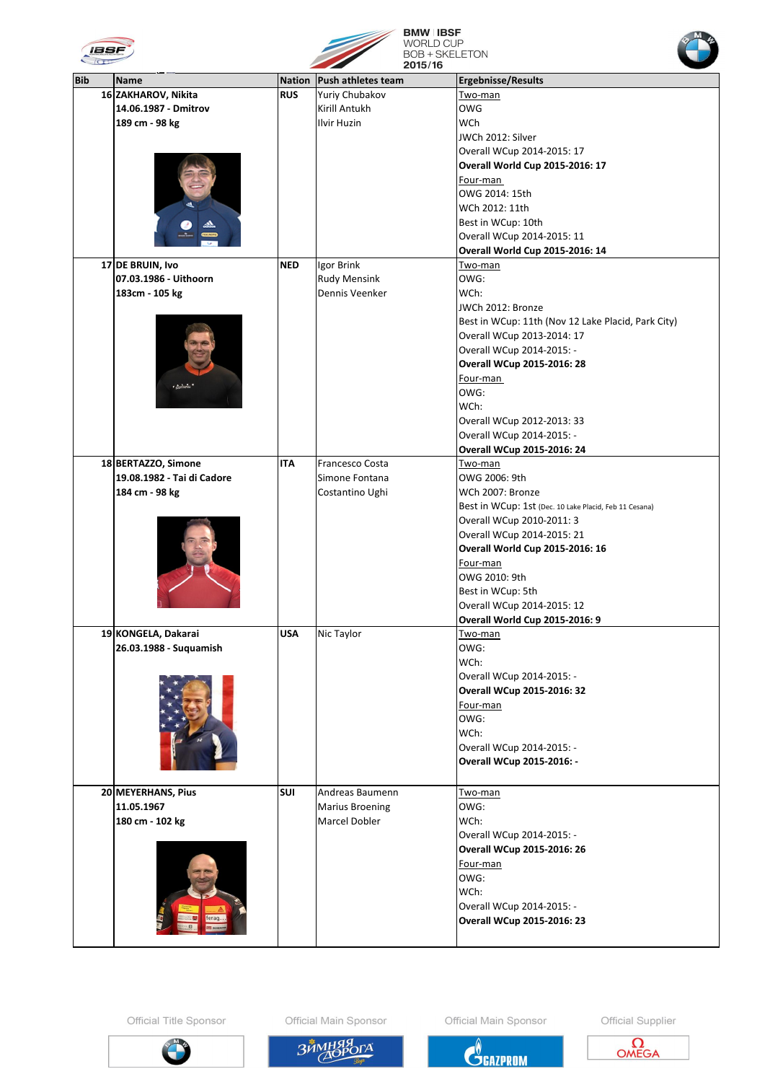



**BMW IBSF<br>WORLD CUP<br>BOB + SKELETON<br>2015/16** 



| <b>Bib</b> | <b>Name</b>                | <b>Nation</b> | Push athletes team     | <b>Ergebnisse/Results</b>                              |
|------------|----------------------------|---------------|------------------------|--------------------------------------------------------|
|            | 16 ZAKHAROV, Nikita        | <b>RUS</b>    | Yuriy Chubakov         | Two-man                                                |
|            | 14.06.1987 - Dmitrov       |               | Kirill Antukh          | <b>OWG</b>                                             |
|            | 189 cm - 98 kg             |               | <b>Ilvir Huzin</b>     | WCh                                                    |
|            |                            |               |                        | JWCh 2012: Silver                                      |
|            |                            |               |                        | Overall WCup 2014-2015: 17                             |
|            |                            |               |                        | <b>Overall World Cup 2015-2016: 17</b>                 |
|            |                            |               |                        | Four-man                                               |
|            |                            |               |                        | OWG 2014: 15th                                         |
|            |                            |               |                        | WCh 2012: 11th                                         |
|            |                            |               |                        | Best in WCup: 10th                                     |
|            |                            |               |                        | Overall WCup 2014-2015: 11                             |
|            |                            |               |                        |                                                        |
|            |                            |               |                        | <b>Overall World Cup 2015-2016: 14</b>                 |
|            | 17 DE BRUIN, Ivo           | <b>NED</b>    | Igor Brink             | Two-man                                                |
|            | 07.03.1986 - Uithoorn      |               | <b>Rudy Mensink</b>    | OWG:                                                   |
|            | 183cm - 105 kg             |               | Dennis Veenker         | WCh:                                                   |
|            |                            |               |                        | JWCh 2012: Bronze                                      |
|            |                            |               |                        | Best in WCup: 11th (Nov 12 Lake Placid, Park City)     |
|            |                            |               |                        | Overall WCup 2013-2014: 17                             |
|            |                            |               |                        | Overall WCup 2014-2015: -                              |
|            |                            |               |                        | <b>Overall WCup 2015-2016: 28</b>                      |
|            |                            |               |                        | Four-man                                               |
|            | $t$ derivation             |               |                        | OWG:                                                   |
|            |                            |               |                        | WCh:                                                   |
|            |                            |               |                        | Overall WCup 2012-2013: 33                             |
|            |                            |               |                        | Overall WCup 2014-2015: -                              |
|            |                            |               |                        | <b>Overall WCup 2015-2016: 24</b>                      |
|            | 18 BERTAZZO, Simone        | <b>ITA</b>    | Francesco Costa        | <u>Two-man</u>                                         |
|            | 19.08.1982 - Tai di Cadore |               | Simone Fontana         | OWG 2006: 9th                                          |
|            | 184 cm - 98 kg             |               | Costantino Ughi        | WCh 2007: Bronze                                       |
|            |                            |               |                        | Best in WCup: 1st (Dec. 10 Lake Placid, Feb 11 Cesana) |
|            |                            |               |                        |                                                        |
|            |                            |               |                        | Overall WCup 2010-2011: 3                              |
|            |                            |               |                        | Overall WCup 2014-2015: 21                             |
|            |                            |               |                        | <b>Overall World Cup 2015-2016: 16</b>                 |
|            |                            |               |                        | <u>Four-man</u>                                        |
|            |                            |               |                        | OWG 2010: 9th                                          |
|            |                            |               |                        | Best in WCup: 5th                                      |
|            |                            |               |                        | Overall WCup 2014-2015: 12                             |
|            |                            |               |                        | <b>Overall World Cup 2015-2016: 9</b>                  |
|            | 19 KONGELA, Dakarai        | <b>USA</b>    | Nic Taylor             | Two-man                                                |
|            | 26.03.1988 - Suquamish     |               |                        | OWG:                                                   |
|            |                            |               |                        | WCh:                                                   |
|            |                            |               |                        | Overall WCup 2014-2015: -                              |
|            |                            |               |                        | <b>Overall WCup 2015-2016: 32</b>                      |
|            |                            |               |                        | Four-man                                               |
|            |                            |               |                        | OWG:                                                   |
|            |                            |               |                        | WCh:                                                   |
|            |                            |               |                        | Overall WCup 2014-2015: -                              |
|            |                            |               |                        | <b>Overall WCup 2015-2016: -</b>                       |
|            |                            |               |                        |                                                        |
|            |                            |               |                        |                                                        |
|            | 20 MEYERHANS, Pius         | <b>SUI</b>    | Andreas Baumenn        | Two-man                                                |
|            | 11.05.1967                 |               | <b>Marius Broening</b> | OWG:                                                   |
|            | 180 cm - 102 kg            |               | Marcel Dobler          | WCh:                                                   |
|            |                            |               |                        | Overall WCup 2014-2015: -                              |
|            |                            |               |                        | <b>Overall WCup 2015-2016: 26</b>                      |
|            |                            |               |                        | Four-man                                               |
|            |                            |               |                        | OWG:                                                   |
|            |                            |               |                        | WCh:                                                   |
|            |                            |               |                        | Overall WCup 2014-2015: -                              |
|            |                            |               |                        | <b>Overall WCup 2015-2016: 23</b>                      |
|            |                            |               |                        |                                                        |
|            |                            |               |                        |                                                        |

Official Title Sponsor

Official Main Sponsor

Official Main Sponsor